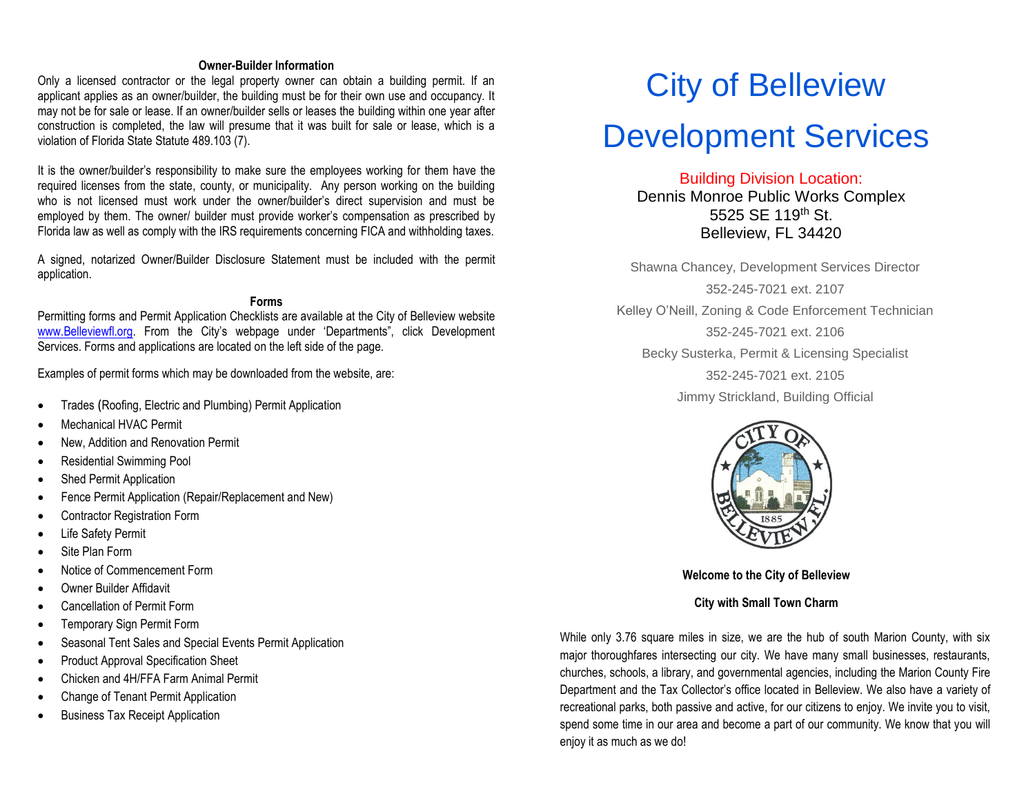#### **Owner-Builder Information**

Only a licensed contractor or the legal property owner can obtain a building permit. If an applicant applies as an owner/builder, the building must be for their own use and occupancy. It may not be for sale or lease. If an owner/builder sells or leases the building within one year after construction is completed, the law will presume that it was built for sale or lease, which is a violation of Florida State Statute 489.103 (7).

It is the owner/builder's responsibility to make sure the employees working for them have the required licenses from the state, county, or municipality. Any person working on the building who is not licensed must work under the owner/builder's direct supervision and must be employed by them. The owner/ builder must provide worker's compensation as prescribed by Florida law as well as comply with the IRS requirements concerning FICA and withholding taxes.

A signed, notarized Owner/Builder Disclosure Statement must be included with the permit application.

#### **Forms**

Permitting forms and Permit Application Checklists are available at the City of Belleview website [www.Belleviewfl.org.](http://thecityofcedarkey.org/) From the City's webpage under 'Departments", click Development Services. Forms and applications are located on the left side of the page.

Examples of permit forms which may be downloaded from the website, are:

- Trades ([Roofing, Electric and Plumbing\)](http://departments.belleviewfl.org/ds/system%20documents/RoofPerApp.pdf) Permit Application
- [Mechanical](http://departments.belleviewfl.org/ds/system%20documents/ResPerApp.pdf) HVAC Permit
- New, Addition and Renovation Permit
- Residential Swimming Pool
- [Shed Permit Application](http://departments.belleviewfl.org/ds/system%20documents/SPerApp.pdf)
- [Fence Permit Application](http://departments.belleviewfl.org/ds/system%20documents/FcePerApp.pdf) (Repair/Replacement and New)
- [Contractor Registration](http://departments.belleviewfl.org/ds/system%20documents/ChgContr.pdf) Form
- [Life Safety Permit](http://departments.belleviewfl.org/ds/system%20documents/ComPerApp.pdf)
- [Site Plan Form](http://departments.belleviewfl.org/ds/system%20documents/SPApp.pdf)
- [Notice of Commencement Form](http://departments.belleviewfl.org/ds/system%20documents/NOC.pdf)
- [Owner Builder Affidavit](http://departments.belleviewfl.org/ds/system%20documents/OBAff.pdf)
- [Cancellation of Permit Form](http://departments.belleviewfl.org/ds/system%20documents/CncPer.pdf)
- [Temporary Sign Permit Form](http://departments.belleviewfl.org/ds/system%20documents/TempSPerApp.pdf)
- [Seasonal Tent Sales and Special Events Permit Application](http://departments.belleviewfl.org/ds/system%20documents/SeasPerApp.pdf)
- [Product Approval Specification](http://departments.belleviewfl.org/ds/system%20documents/ProAppSpec.pdf) Sheet
- Chicken and 4H/FFA Farm Animal Permit
- [Change of Tenant](http://departments.belleviewfl.org/ds/system%20documents/ChgOccPerApp.pdf) Permit Application
- Business Tax Receipt Application

# City of Belleview

# Development Services

Building Division Location:

Dennis Monroe Public Works Complex 5525 SE 119<sup>th</sup> St. Belleview, FL 34420

Shawna Chancey, Development Services Director 352-245-7021 ext. 2107 Kelley O'Neill, Zoning & Code Enforcement Technician 352-245-7021 ext. 2106 Becky Susterka, Permit & Licensing Specialist 352-245-7021 ext. 2105 Jimmy Strickland, Building Official



**Welcome to the City of Belleview**

**City with Small Town Charm**

While only 3.76 square miles in size, we are the hub of south Marion County, with six major thoroughfares intersecting our city. We have many small businesses, restaurants, churches, schools, a library, and governmental agencies, including the Marion County Fire Department and the Tax Collector's office located in Belleview. We also have a variety of recreational parks, both passive and active, for our citizens to enjoy. We invite you to visit, spend some time in our area and become a part of our community. We know that you will enjoy it as much as we do!